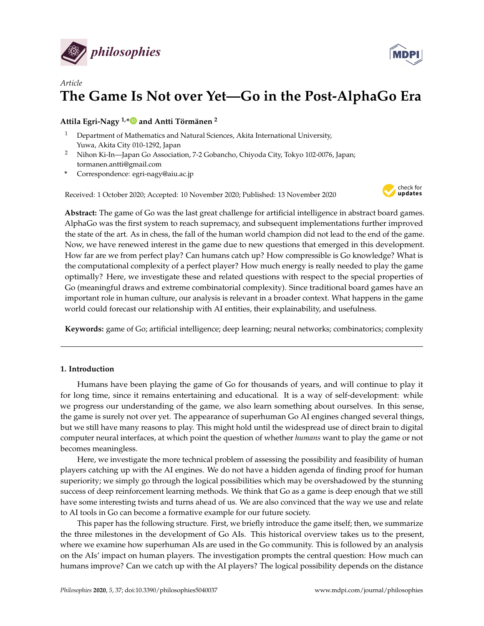



# *Article* **The Game Is Not over Yet—Go in the Post-AlphaGo Era**

**Attila Egri-Nagy 1,[\\*](https://orcid.org/0000-0001-7861-7076) and Antti Törmänen <sup>2</sup>**

- <sup>1</sup> Department of Mathematics and Natural Sciences, Akita International University, Yuwa, Akita City 010-1292, Japan
- <sup>2</sup> Nihon Ki-In—Japan Go Association, 7-2 Gobancho, Chiyoda City, Tokyo 102-0076, Japan; tormanen.antti@gmail.com
- **\*** Correspondence: egri-nagy@aiu.ac.jp

Received: 1 October 2020; Accepted: 10 November 2020; Published: 13 November 2020



**Abstract:** The game of Go was the last great challenge for artificial intelligence in abstract board games. AlphaGo was the first system to reach supremacy, and subsequent implementations further improved the state of the art. As in chess, the fall of the human world champion did not lead to the end of the game. Now, we have renewed interest in the game due to new questions that emerged in this development. How far are we from perfect play? Can humans catch up? How compressible is Go knowledge? What is the computational complexity of a perfect player? How much energy is really needed to play the game optimally? Here, we investigate these and related questions with respect to the special properties of Go (meaningful draws and extreme combinatorial complexity). Since traditional board games have an important role in human culture, our analysis is relevant in a broader context. What happens in the game world could forecast our relationship with AI entities, their explainability, and usefulness.

**Keywords:** game of Go; artificial intelligence; deep learning; neural networks; combinatorics; complexity

# **1. Introduction**

Humans have been playing the game of Go for thousands of years, and will continue to play it for long time, since it remains entertaining and educational. It is a way of self-development: while we progress our understanding of the game, we also learn something about ourselves. In this sense, the game is surely not over yet. The appearance of superhuman Go AI engines changed several things, but we still have many reasons to play. This might hold until the widespread use of direct brain to digital computer neural interfaces, at which point the question of whether *humans* want to play the game or not becomes meaningless.

Here, we investigate the more technical problem of assessing the possibility and feasibility of human players catching up with the AI engines. We do not have a hidden agenda of finding proof for human superiority; we simply go through the logical possibilities which may be overshadowed by the stunning success of deep reinforcement learning methods. We think that Go as a game is deep enough that we still have some interesting twists and turns ahead of us. We are also convinced that the way we use and relate to AI tools in Go can become a formative example for our future society.

This paper has the following structure. First, we briefly introduce the game itself; then, we summarize the three milestones in the development of Go AIs. This historical overview takes us to the present, where we examine how superhuman AIs are used in the Go community. This is followed by an analysis on the AIs' impact on human players. The investigation prompts the central question: How much can humans improve? Can we catch up with the AI players? The logical possibility depends on the distance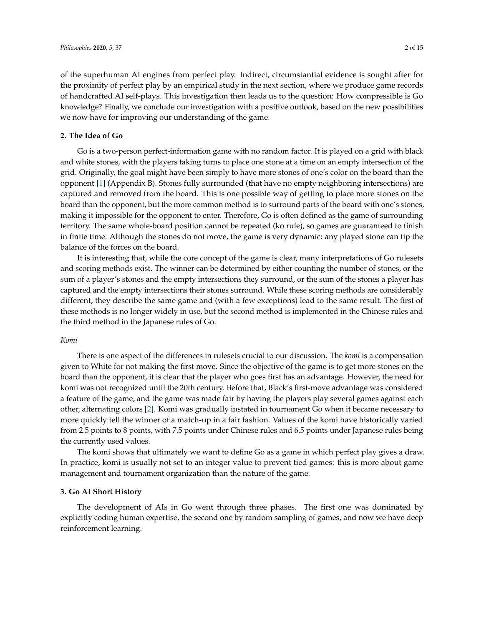of the superhuman AI engines from perfect play. Indirect, circumstantial evidence is sought after for the proximity of perfect play by an empirical study in the next section, where we produce game records of handcrafted AI self-plays. This investigation then leads us to the question: How compressible is Go knowledge? Finally, we conclude our investigation with a positive outlook, based on the new possibilities we now have for improving our understanding of the game.

## **2. The Idea of Go**

Go is a two-person perfect-information game with no random factor. It is played on a grid with black and white stones, with the players taking turns to place one stone at a time on an empty intersection of the grid. Originally, the goal might have been simply to have more stones of one's color on the board than the opponent [\[1\]](#page-13-0) (Appendix B). Stones fully surrounded (that have no empty neighboring intersections) are captured and removed from the board. This is one possible way of getting to place more stones on the board than the opponent, but the more common method is to surround parts of the board with one's stones, making it impossible for the opponent to enter. Therefore, Go is often defined as the game of surrounding territory. The same whole-board position cannot be repeated (ko rule), so games are guaranteed to finish in finite time. Although the stones do not move, the game is very dynamic: any played stone can tip the balance of the forces on the board.

It is interesting that, while the core concept of the game is clear, many interpretations of Go rulesets and scoring methods exist. The winner can be determined by either counting the number of stones, or the sum of a player's stones and the empty intersections they surround, or the sum of the stones a player has captured and the empty intersections their stones surround. While these scoring methods are considerably different, they describe the same game and (with a few exceptions) lead to the same result. The first of these methods is no longer widely in use, but the second method is implemented in the Chinese rules and the third method in the Japanese rules of Go.

#### *Komi*

There is one aspect of the differences in rulesets crucial to our discussion. The *komi* is a compensation given to White for not making the first move. Since the objective of the game is to get more stones on the board than the opponent, it is clear that the player who goes first has an advantage. However, the need for komi was not recognized until the 20th century. Before that, Black's first-move advantage was considered a feature of the game, and the game was made fair by having the players play several games against each other, alternating colors [\[2\]](#page-13-1). Komi was gradually instated in tournament Go when it became necessary to more quickly tell the winner of a match-up in a fair fashion. Values of the komi have historically varied from 2.5 points to 8 points, with 7.5 points under Chinese rules and 6.5 points under Japanese rules being the currently used values.

The komi shows that ultimately we want to define Go as a game in which perfect play gives a draw. In practice, komi is usually not set to an integer value to prevent tied games: this is more about game management and tournament organization than the nature of the game.

#### **3. Go AI Short History**

The development of AIs in Go went through three phases. The first one was dominated by explicitly coding human expertise, the second one by random sampling of games, and now we have deep reinforcement learning.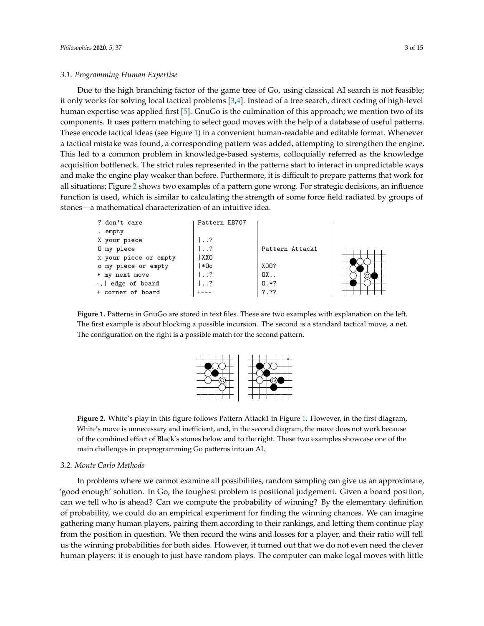#### *3.1. Programming Human Expertise*

Due to the high branching factor of the game tree of Go, using classical AI search is not feasible; it only works for solving local tactical problems [\[3](#page-13-2)[,4\]](#page-13-3). Instead of a tree search, direct coding of high-level human expertise was applied first [\[5\]](#page-13-4). GnuGo is the culmination of this approach; we mention two of its components. It uses pattern matching to select good moves with the help of a database of useful patterns. These encode tactical ideas (see Figure [1\)](#page-2-0) in a convenient human-readable and editable format. Whenever a tactical mistake was found, a corresponding pattern was added, attempting to strengthen the engine. This led to a common problem in knowledge-based systems, colloquially referred as the knowledge acquisition bottleneck. The strict rules represented in the patterns start to interact in unpredictable ways and make the engine play weaker than before. Furthermore, it is difficult to prepare patterns that work for all situations; Figure [2](#page-2-1) shows two examples of a pattern gone wrong. For strategic decisions, an influence function is used, which is similar to calculating the strength of some force field radiated by groups of stones—a mathematical characterization of an intuitive idea.

<span id="page-2-0"></span>

| ? don't care          | Pattern EB707          |                 |  |
|-----------------------|------------------------|-----------------|--|
| . empty               |                        |                 |  |
| X your piece          | $\lfloor ? \rfloor$    |                 |  |
| O my piece            | $\lfloor ? \rfloor$    | Pattern Attack1 |  |
| x your piece or empty | XXO                    |                 |  |
| o my piece or empty   | $ *00$                 | X00?            |  |
| * my next move        | $\vert \ldots \rangle$ | OX              |  |
| -, edge of board      | $\lfloor ? \rfloor$    | $0.*?$          |  |
| + corner of board     |                        | ? . ??          |  |

<span id="page-2-1"></span>**Figure 1.** Patterns in GnuGo are stored in text files. These are two examples with explanation on the left. The first example is about blocking a possible incursion. The second is a standard tactical move, a net. The configuration on the right is a possible match for the second pattern.



**Figure 2.** White's play in this figure follows Pattern Attack1 in Figure [1.](#page-2-0) However, in the first diagram, White's move is unnecessary and inefficient, and, in the second diagram, the move does not work because of the combined effect of Black's stones below and to the right. These two examples showcase one of the main challenges in preprogramming Go patterns into an AI.

#### *3.2. Monte Carlo Methods*

In problems where we cannot examine all possibilities, random sampling can give us an approximate, 'good enough' solution. In Go, the toughest problem is positional judgement. Given a board position, can we tell who is ahead? Can we compute the probability of winning? By the elementary definition of probability, we could do an empirical experiment for finding the winning chances. We can imagine gathering many human players, pairing them according to their rankings, and letting them continue play from the position in question. We then record the wins and losses for a player, and their ratio will tell us the winning probabilities for both sides. However, it turned out that we do not even need the clever human players: it is enough to just have random plays. The computer can make legal moves with little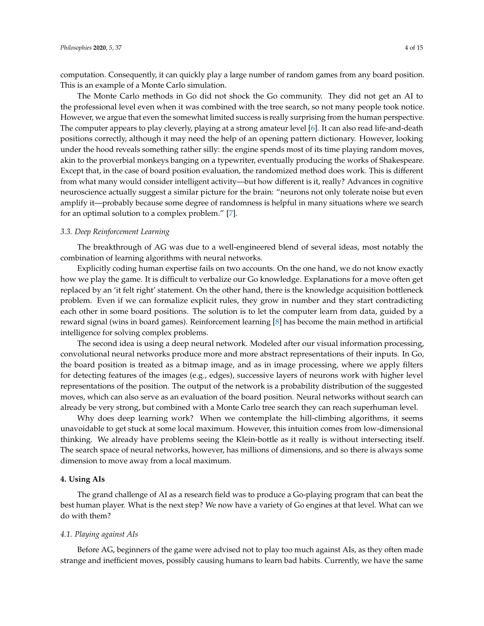computation. Consequently, it can quickly play a large number of random games from any board position. This is an example of a Monte Carlo simulation.

The Monte Carlo methods in Go did not shock the Go community. They did not get an AI to the professional level even when it was combined with the tree search, so not many people took notice. However, we argue that even the somewhat limited success is really surprising from the human perspective. The computer appears to play cleverly, playing at a strong amateur level [\[6\]](#page-13-5). It can also read life-and-death positions correctly, although it may need the help of an opening pattern dictionary. However, looking under the hood reveals something rather silly: the engine spends most of its time playing random moves, akin to the proverbial monkeys banging on a typewriter, eventually producing the works of Shakespeare. Except that, in the case of board position evaluation, the randomized method does work. This is different from what many would consider intelligent activity—but how different is it, really? Advances in cognitive neuroscience actually suggest a similar picture for the brain: "neurons not only tolerate noise but even amplify it—probably because some degree of randomness is helpful in many situations where we search for an optimal solution to a complex problem." [\[7\]](#page-13-6).

#### *3.3. Deep Reinforcement Learning*

The breakthrough of AG was due to a well-engineered blend of several ideas, most notably the combination of learning algorithms with neural networks.

Explicitly coding human expertise fails on two accounts. On the one hand, we do not know exactly how we play the game. It is difficult to verbalize our Go knowledge. Explanations for a move often get replaced by an 'it felt right' statement. On the other hand, there is the knowledge acquisition bottleneck problem. Even if we can formalize explicit rules, they grow in number and they start contradicting each other in some board positions. The solution is to let the computer learn from data, guided by a reward signal (wins in board games). Reinforcement learning [\[8\]](#page-13-7) has become the main method in artificial intelligence for solving complex problems.

The second idea is using a deep neural network. Modeled after our visual information processing, convolutional neural networks produce more and more abstract representations of their inputs. In Go, the board position is treated as a bitmap image, and as in image processing, where we apply filters for detecting features of the images (e.g., edges), successive layers of neurons work with higher level representations of the position. The output of the network is a probability distribution of the suggested moves, which can also serve as an evaluation of the board position. Neural networks without search can already be very strong, but combined with a Monte Carlo tree search they can reach superhuman level.

Why does deep learning work? When we contemplate the hill-climbing algorithms, it seems unavoidable to get stuck at some local maximum. However, this intuition comes from low-dimensional thinking. We already have problems seeing the Klein-bottle as it really is without intersecting itself. The search space of neural networks, however, has millions of dimensions, and so there is always some dimension to move away from a local maximum.

#### **4. Using AIs**

The grand challenge of AI as a research field was to produce a Go-playing program that can beat the best human player. What is the next step? We now have a variety of Go engines at that level. What can we do with them?

## *4.1. Playing against AIs*

Before AG, beginners of the game were advised not to play too much against AIs, as they often made strange and inefficient moves, possibly causing humans to learn bad habits. Currently, we have the same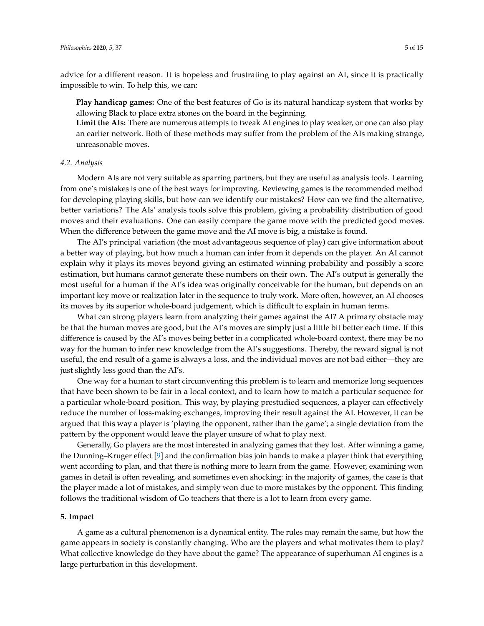advice for a different reason. It is hopeless and frustrating to play against an AI, since it is practically impossible to win. To help this, we can:

**Play handicap games:** One of the best features of Go is its natural handicap system that works by allowing Black to place extra stones on the board in the beginning.

**Limit the AIs:** There are numerous attempts to tweak AI engines to play weaker, or one can also play an earlier network. Both of these methods may suffer from the problem of the AIs making strange, unreasonable moves.

## *4.2. Analysis*

Modern AIs are not very suitable as sparring partners, but they are useful as analysis tools. Learning from one's mistakes is one of the best ways for improving. Reviewing games is the recommended method for developing playing skills, but how can we identify our mistakes? How can we find the alternative, better variations? The AIs' analysis tools solve this problem, giving a probability distribution of good moves and their evaluations. One can easily compare the game move with the predicted good moves. When the difference between the game move and the AI move is big, a mistake is found.

The AI's principal variation (the most advantageous sequence of play) can give information about a better way of playing, but how much a human can infer from it depends on the player. An AI cannot explain why it plays its moves beyond giving an estimated winning probability and possibly a score estimation, but humans cannot generate these numbers on their own. The AI's output is generally the most useful for a human if the AI's idea was originally conceivable for the human, but depends on an important key move or realization later in the sequence to truly work. More often, however, an AI chooses its moves by its superior whole-board judgement, which is difficult to explain in human terms.

What can strong players learn from analyzing their games against the AI? A primary obstacle may be that the human moves are good, but the AI's moves are simply just a little bit better each time. If this difference is caused by the AI's moves being better in a complicated whole-board context, there may be no way for the human to infer new knowledge from the AI's suggestions. Thereby, the reward signal is not useful, the end result of a game is always a loss, and the individual moves are not bad either—they are just slightly less good than the AI's.

One way for a human to start circumventing this problem is to learn and memorize long sequences that have been shown to be fair in a local context, and to learn how to match a particular sequence for a particular whole-board position. This way, by playing prestudied sequences, a player can effectively reduce the number of loss-making exchanges, improving their result against the AI. However, it can be argued that this way a player is 'playing the opponent, rather than the game'; a single deviation from the pattern by the opponent would leave the player unsure of what to play next.

Generally, Go players are the most interested in analyzing games that they lost. After winning a game, the Dunning–Kruger effect [\[9\]](#page-13-8) and the confirmation bias join hands to make a player think that everything went according to plan, and that there is nothing more to learn from the game. However, examining won games in detail is often revealing, and sometimes even shocking: in the majority of games, the case is that the player made a lot of mistakes, and simply won due to more mistakes by the opponent. This finding follows the traditional wisdom of Go teachers that there is a lot to learn from every game.

#### **5. Impact**

A game as a cultural phenomenon is a dynamical entity. The rules may remain the same, but how the game appears in society is constantly changing. Who are the players and what motivates them to play? What collective knowledge do they have about the game? The appearance of superhuman AI engines is a large perturbation in this development.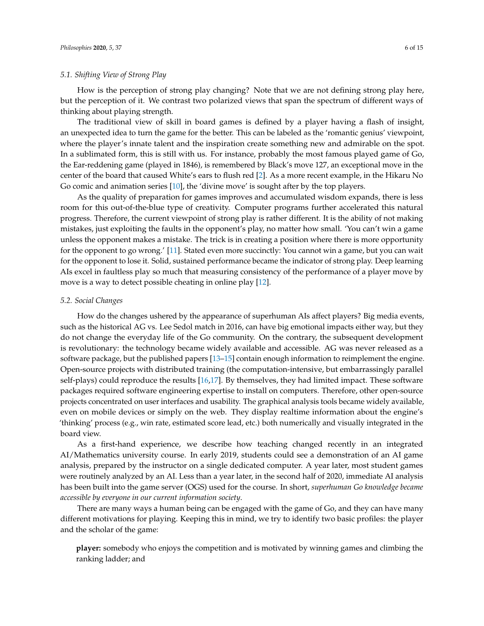#### *5.1. Shifting View of Strong Play*

How is the perception of strong play changing? Note that we are not defining strong play here, but the perception of it. We contrast two polarized views that span the spectrum of different ways of thinking about playing strength.

The traditional view of skill in board games is defined by a player having a flash of insight, an unexpected idea to turn the game for the better. This can be labeled as the 'romantic genius' viewpoint, where the player's innate talent and the inspiration create something new and admirable on the spot. In a sublimated form, this is still with us. For instance, probably the most famous played game of Go, the Ear-reddening game (played in 1846), is remembered by Black's move 127, an exceptional move in the center of the board that caused White's ears to flush red [\[2\]](#page-13-1). As a more recent example, in the Hikaru No Go comic and animation series [\[10\]](#page-13-9), the 'divine move' is sought after by the top players.

As the quality of preparation for games improves and accumulated wisdom expands, there is less room for this out-of-the-blue type of creativity. Computer programs further accelerated this natural progress. Therefore, the current viewpoint of strong play is rather different. It is the ability of not making mistakes, just exploiting the faults in the opponent's play, no matter how small. 'You can't win a game unless the opponent makes a mistake. The trick is in creating a position where there is more opportunity for the opponent to go wrong.' [\[11\]](#page-13-10). Stated even more succinctly: You cannot win a game, but you can wait for the opponent to lose it. Solid, sustained performance became the indicator of strong play. Deep learning AIs excel in faultless play so much that measuring consistency of the performance of a player move by move is a way to detect possible cheating in online play [\[12\]](#page-13-11).

#### *5.2. Social Changes*

How do the changes ushered by the appearance of superhuman AIs affect players? Big media events, such as the historical AG vs. Lee Sedol match in 2016, can have big emotional impacts either way, but they do not change the everyday life of the Go community. On the contrary, the subsequent development is revolutionary: the technology became widely available and accessible. AG was never released as a software package, but the published papers [\[13–](#page-14-0)[15\]](#page-14-1) contain enough information to reimplement the engine. Open-source projects with distributed training (the computation-intensive, but embarrassingly parallel self-plays) could reproduce the results [\[16](#page-14-2)[,17\]](#page-14-3). By themselves, they had limited impact. These software packages required software engineering expertise to install on computers. Therefore, other open-source projects concentrated on user interfaces and usability. The graphical analysis tools became widely available, even on mobile devices or simply on the web. They display realtime information about the engine's 'thinking' process (e.g., win rate, estimated score lead, etc.) both numerically and visually integrated in the board view.

As a first-hand experience, we describe how teaching changed recently in an integrated AI/Mathematics university course. In early 2019, students could see a demonstration of an AI game analysis, prepared by the instructor on a single dedicated computer. A year later, most student games were routinely analyzed by an AI. Less than a year later, in the second half of 2020, immediate AI analysis has been built into the game server (OGS) used for the course. In short, *superhuman Go knowledge became accessible by everyone in our current information society*.

There are many ways a human being can be engaged with the game of Go, and they can have many different motivations for playing. Keeping this in mind, we try to identify two basic profiles: the player and the scholar of the game:

**player:** somebody who enjoys the competition and is motivated by winning games and climbing the ranking ladder; and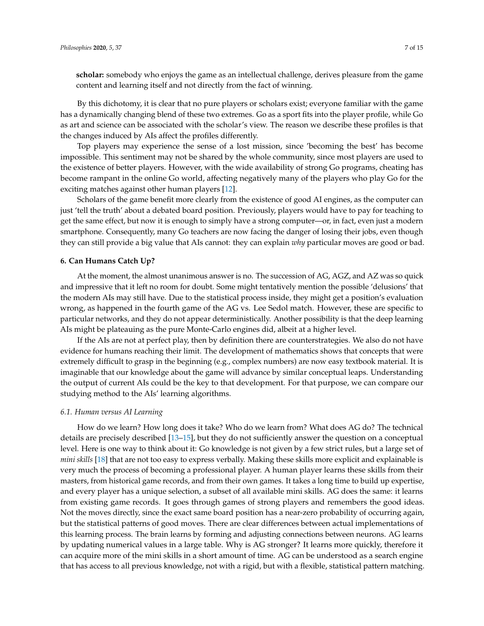**scholar:** somebody who enjoys the game as an intellectual challenge, derives pleasure from the game content and learning itself and not directly from the fact of winning.

By this dichotomy, it is clear that no pure players or scholars exist; everyone familiar with the game has a dynamically changing blend of these two extremes. Go as a sport fits into the player profile, while Go as art and science can be associated with the scholar's view. The reason we describe these profiles is that the changes induced by AIs affect the profiles differently.

Top players may experience the sense of a lost mission, since 'becoming the best' has become impossible. This sentiment may not be shared by the whole community, since most players are used to the existence of better players. However, with the wide availability of strong Go programs, cheating has become rampant in the online Go world, affecting negatively many of the players who play Go for the exciting matches against other human players [\[12\]](#page-13-11).

Scholars of the game benefit more clearly from the existence of good AI engines, as the computer can just 'tell the truth' about a debated board position. Previously, players would have to pay for teaching to get the same effect, but now it is enough to simply have a strong computer—or, in fact, even just a modern smartphone. Consequently, many Go teachers are now facing the danger of losing their jobs, even though they can still provide a big value that AIs cannot: they can explain *why* particular moves are good or bad.

## **6. Can Humans Catch Up?**

At the moment, the almost unanimous answer is no. The succession of AG, AGZ, and AZ was so quick and impressive that it left no room for doubt. Some might tentatively mention the possible 'delusions' that the modern AIs may still have. Due to the statistical process inside, they might get a position's evaluation wrong, as happened in the fourth game of the AG vs. Lee Sedol match. However, these are specific to particular networks, and they do not appear deterministically. Another possibility is that the deep learning AIs might be plateauing as the pure Monte-Carlo engines did, albeit at a higher level.

If the AIs are not at perfect play, then by definition there are counterstrategies. We also do not have evidence for humans reaching their limit. The development of mathematics shows that concepts that were extremely difficult to grasp in the beginning (e.g., complex numbers) are now easy textbook material. It is imaginable that our knowledge about the game will advance by similar conceptual leaps. Understanding the output of current AIs could be the key to that development. For that purpose, we can compare our studying method to the AIs' learning algorithms.

#### *6.1. Human versus AI Learning*

How do we learn? How long does it take? Who do we learn from? What does AG do? The technical details are precisely described [\[13](#page-14-0)[–15\]](#page-14-1), but they do not sufficiently answer the question on a conceptual level. Here is one way to think about it: Go knowledge is not given by a few strict rules, but a large set of *mini skills* [\[18\]](#page-14-4) that are not too easy to express verbally. Making these skills more explicit and explainable is very much the process of becoming a professional player. A human player learns these skills from their masters, from historical game records, and from their own games. It takes a long time to build up expertise, and every player has a unique selection, a subset of all available mini skills. AG does the same: it learns from existing game records. It goes through games of strong players and remembers the good ideas. Not the moves directly, since the exact same board position has a near-zero probability of occurring again, but the statistical patterns of good moves. There are clear differences between actual implementations of this learning process. The brain learns by forming and adjusting connections between neurons. AG learns by updating numerical values in a large table. Why is AG stronger? It learns more quickly, therefore it can acquire more of the mini skills in a short amount of time. AG can be understood as a search engine that has access to all previous knowledge, not with a rigid, but with a flexible, statistical pattern matching.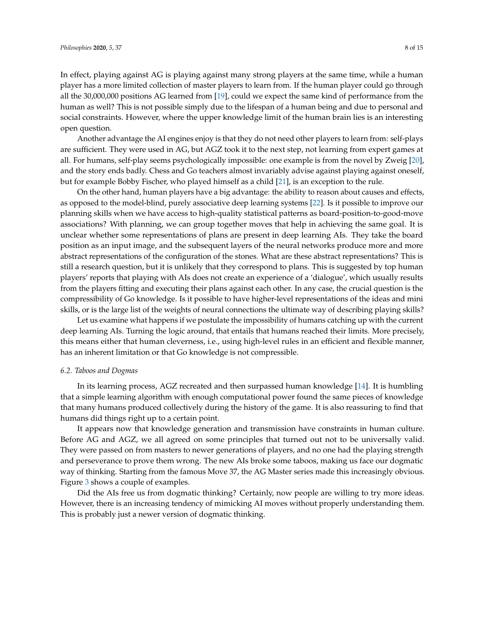In effect, playing against AG is playing against many strong players at the same time, while a human player has a more limited collection of master players to learn from. If the human player could go through all the 30,000,000 positions AG learned from [\[19\]](#page-14-5), could we expect the same kind of performance from the human as well? This is not possible simply due to the lifespan of a human being and due to personal and social constraints. However, where the upper knowledge limit of the human brain lies is an interesting open question.

Another advantage the AI engines enjoy is that they do not need other players to learn from: self-plays are sufficient. They were used in AG, but AGZ took it to the next step, not learning from expert games at all. For humans, self-play seems psychologically impossible: one example is from the novel by Zweig [\[20\]](#page-14-6), and the story ends badly. Chess and Go teachers almost invariably advise against playing against oneself, but for example Bobby Fischer, who played himself as a child [\[21\]](#page-14-7), is an exception to the rule.

On the other hand, human players have a big advantage: the ability to reason about causes and effects, as opposed to the model-blind, purely associative deep learning systems [\[22\]](#page-14-8). Is it possible to improve our planning skills when we have access to high-quality statistical patterns as board-position-to-good-move associations? With planning, we can group together moves that help in achieving the same goal. It is unclear whether some representations of plans are present in deep learning AIs. They take the board position as an input image, and the subsequent layers of the neural networks produce more and more abstract representations of the configuration of the stones. What are these abstract representations? This is still a research question, but it is unlikely that they correspond to plans. This is suggested by top human players' reports that playing with AIs does not create an experience of a 'dialogue', which usually results from the players fitting and executing their plans against each other. In any case, the crucial question is the compressibility of Go knowledge. Is it possible to have higher-level representations of the ideas and mini skills, or is the large list of the weights of neural connections the ultimate way of describing playing skills?

Let us examine what happens if we postulate the impossibility of humans catching up with the current deep learning AIs. Turning the logic around, that entails that humans reached their limits. More precisely, this means either that human cleverness, i.e., using high-level rules in an efficient and flexible manner, has an inherent limitation or that Go knowledge is not compressible.

#### *6.2. Taboos and Dogmas*

In its learning process, AGZ recreated and then surpassed human knowledge [\[14\]](#page-14-9). It is humbling that a simple learning algorithm with enough computational power found the same pieces of knowledge that many humans produced collectively during the history of the game. It is also reassuring to find that humans did things right up to a certain point.

It appears now that knowledge generation and transmission have constraints in human culture. Before AG and AGZ, we all agreed on some principles that turned out not to be universally valid. They were passed on from masters to newer generations of players, and no one had the playing strength and perseverance to prove them wrong. The new AIs broke some taboos, making us face our dogmatic way of thinking. Starting from the famous Move 37, the AG Master series made this increasingly obvious. Figure [3](#page-8-0) shows a couple of examples.

Did the AIs free us from dogmatic thinking? Certainly, now people are willing to try more ideas. However, there is an increasing tendency of mimicking AI moves without properly understanding them. This is probably just a newer version of dogmatic thinking.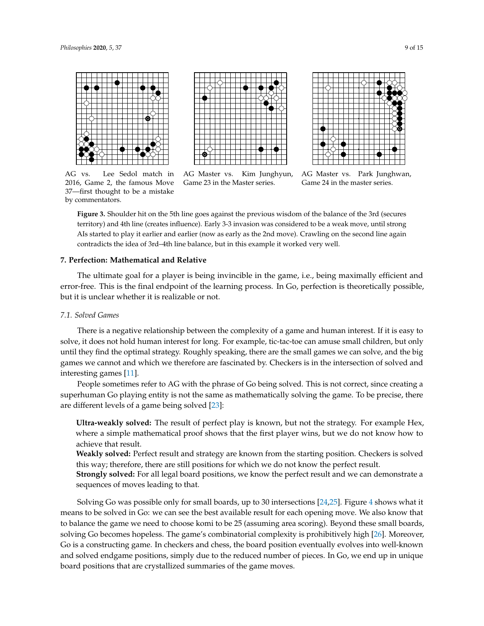<span id="page-8-0"></span>

AG vs. Lee Sedol match in 2016, Game 2, the famous Move 37—first thought to be a mistake by commentators.



AG Master vs. Kim Junghyun, Game 23 in the Master series.



AG Master vs. Park Junghwan, Game 24 in the master series.

**Figure 3.** Shoulder hit on the 5th line goes against the previous wisdom of the balance of the 3rd (secures territory) and 4th line (creates influence). Early 3-3 invasion was considered to be a weak move, until strong AIs started to play it earlier and earlier (now as early as the 2nd move). Crawling on the second line again contradicts the idea of 3rd–4th line balance, but in this example it worked very well.

## **7. Perfection: Mathematical and Relative**

The ultimate goal for a player is being invincible in the game, i.e., being maximally efficient and error-free. This is the final endpoint of the learning process. In Go, perfection is theoretically possible, but it is unclear whether it is realizable or not.

## *7.1. Solved Games*

There is a negative relationship between the complexity of a game and human interest. If it is easy to solve, it does not hold human interest for long. For example, tic-tac-toe can amuse small children, but only until they find the optimal strategy. Roughly speaking, there are the small games we can solve, and the big games we cannot and which we therefore are fascinated by. Checkers is in the intersection of solved and interesting games [\[11\]](#page-13-10).

People sometimes refer to AG with the phrase of Go being solved. This is not correct, since creating a superhuman Go playing entity is not the same as mathematically solving the game. To be precise, there are different levels of a game being solved [\[23\]](#page-14-10):

**Ultra-weakly solved:** The result of perfect play is known, but not the strategy. For example Hex, where a simple mathematical proof shows that the first player wins, but we do not know how to achieve that result.

**Weakly solved:** Perfect result and strategy are known from the starting position. Checkers is solved this way; therefore, there are still positions for which we do not know the perfect result.

**Strongly solved:** For all legal board positions, we know the perfect result and we can demonstrate a sequences of moves leading to that.

Solving Go was possible only for small boards, up to 30 intersections [\[24,](#page-14-11)[25\]](#page-14-12). Figure [4](#page-9-0) shows what it means to be solved in Go: we can see the best available result for each opening move. We also know that to balance the game we need to choose komi to be 25 (assuming area scoring). Beyond these small boards, solving Go becomes hopeless. The game's combinatorial complexity is prohibitively high [\[26\]](#page-14-13). Moreover, Go is a constructing game. In checkers and chess, the board position eventually evolves into well-known and solved endgame positions, simply due to the reduced number of pieces. In Go, we end up in unique board positions that are crystallized summaries of the game moves.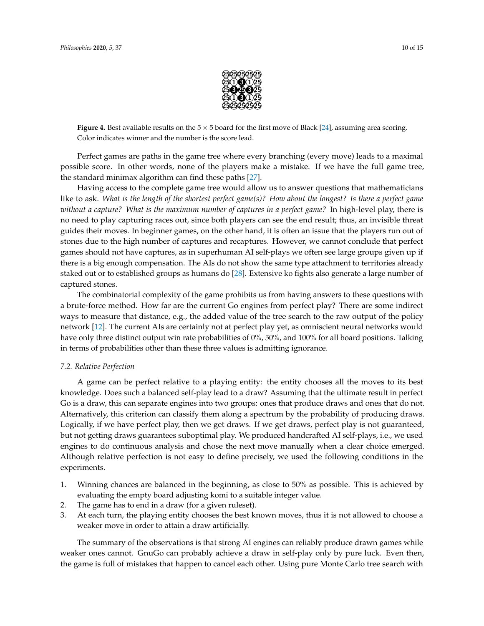

<span id="page-9-0"></span>**Figure 4.** Best available results on the  $5 \times 5$  board for the first move of Black [\[24\]](#page-14-11), assuming area scoring. Color indicates winner and the number is the score lead.

Perfect games are paths in the game tree where every branching (every move) leads to a maximal possible score. In other words, none of the players make a mistake. If we have the full game tree, the standard minimax algorithm can find these paths [\[27\]](#page-14-14).

Having access to the complete game tree would allow us to answer questions that mathematicians like to ask. *What is the length of the shortest perfect game(s)? How about the longest? Is there a perfect game without a capture? What is the maximum number of captures in a perfect game?* In high-level play, there is no need to play capturing races out, since both players can see the end result; thus, an invisible threat guides their moves. In beginner games, on the other hand, it is often an issue that the players run out of stones due to the high number of captures and recaptures. However, we cannot conclude that perfect games should not have captures, as in superhuman AI self-plays we often see large groups given up if there is a big enough compensation. The AIs do not show the same type attachment to territories already staked out or to established groups as humans do [\[28\]](#page-14-15). Extensive ko fights also generate a large number of captured stones.

The combinatorial complexity of the game prohibits us from having answers to these questions with a brute-force method. How far are the current Go engines from perfect play? There are some indirect ways to measure that distance, e.g., the added value of the tree search to the raw output of the policy network [\[12\]](#page-13-11). The current AIs are certainly not at perfect play yet, as omniscient neural networks would have only three distinct output win rate probabilities of 0%, 50%, and 100% for all board positions. Talking in terms of probabilities other than these three values is admitting ignorance.

#### *7.2. Relative Perfection*

A game can be perfect relative to a playing entity: the entity chooses all the moves to its best knowledge. Does such a balanced self-play lead to a draw? Assuming that the ultimate result in perfect Go is a draw, this can separate engines into two groups: ones that produce draws and ones that do not. Alternatively, this criterion can classify them along a spectrum by the probability of producing draws. Logically, if we have perfect play, then we get draws. If we get draws, perfect play is not guaranteed, but not getting draws guarantees suboptimal play. We produced handcrafted AI self-plays, i.e., we used engines to do continuous analysis and chose the next move manually when a clear choice emerged. Although relative perfection is not easy to define precisely, we used the following conditions in the experiments.

- 1. Winning chances are balanced in the beginning, as close to 50% as possible. This is achieved by evaluating the empty board adjusting komi to a suitable integer value.
- 2. The game has to end in a draw (for a given ruleset).
- 3. At each turn, the playing entity chooses the best known moves, thus it is not allowed to choose a weaker move in order to attain a draw artificially.

The summary of the observations is that strong AI engines can reliably produce drawn games while weaker ones cannot. GnuGo can probably achieve a draw in self-play only by pure luck. Even then, the game is full of mistakes that happen to cancel each other. Using pure Monte Carlo tree search with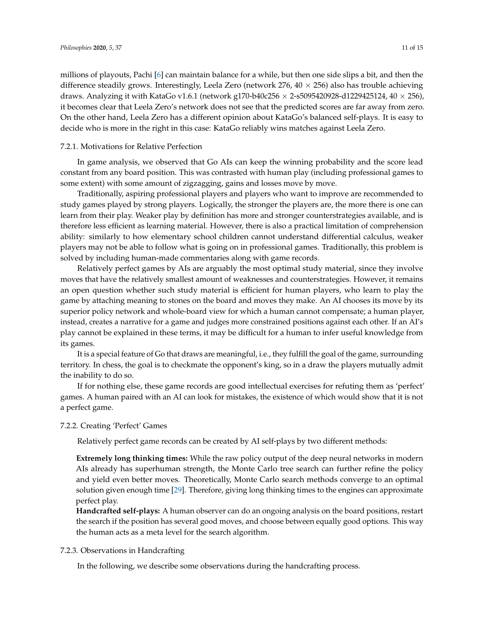millions of playouts, Pachi [\[6\]](#page-13-5) can maintain balance for a while, but then one side slips a bit, and then the difference steadily grows. Interestingly, Leela Zero (network  $276$ ,  $40 \times 256$ ) also has trouble achieving draws. Analyzing it with KataGo v1.6.1 (network g170-b40c256  $\times$  2-s5095420928-d1229425124, 40  $\times$  256), it becomes clear that Leela Zero's network does not see that the predicted scores are far away from zero. On the other hand, Leela Zero has a different opinion about KataGo's balanced self-plays. It is easy to decide who is more in the right in this case: KataGo reliably wins matches against Leela Zero.

## 7.2.1. Motivations for Relative Perfection

In game analysis, we observed that Go AIs can keep the winning probability and the score lead constant from any board position. This was contrasted with human play (including professional games to some extent) with some amount of zigzagging, gains and losses move by move.

Traditionally, aspiring professional players and players who want to improve are recommended to study games played by strong players. Logically, the stronger the players are, the more there is one can learn from their play. Weaker play by definition has more and stronger counterstrategies available, and is therefore less efficient as learning material. However, there is also a practical limitation of comprehension ability: similarly to how elementary school children cannot understand differential calculus, weaker players may not be able to follow what is going on in professional games. Traditionally, this problem is solved by including human-made commentaries along with game records.

Relatively perfect games by AIs are arguably the most optimal study material, since they involve moves that have the relatively smallest amount of weaknesses and counterstrategies. However, it remains an open question whether such study material is efficient for human players, who learn to play the game by attaching meaning to stones on the board and moves they make. An AI chooses its move by its superior policy network and whole-board view for which a human cannot compensate; a human player, instead, creates a narrative for a game and judges more constrained positions against each other. If an AI's play cannot be explained in these terms, it may be difficult for a human to infer useful knowledge from its games.

It is a special feature of Go that draws are meaningful, i.e., they fulfill the goal of the game, surrounding territory. In chess, the goal is to checkmate the opponent's king, so in a draw the players mutually admit the inability to do so.

If for nothing else, these game records are good intellectual exercises for refuting them as 'perfect' games. A human paired with an AI can look for mistakes, the existence of which would show that it is not a perfect game.

## 7.2.2. Creating 'Perfect' Games

Relatively perfect game records can be created by AI self-plays by two different methods:

**Extremely long thinking times:** While the raw policy output of the deep neural networks in modern AIs already has superhuman strength, the Monte Carlo tree search can further refine the policy and yield even better moves. Theoretically, Monte Carlo search methods converge to an optimal solution given enough time [\[29\]](#page-14-16). Therefore, giving long thinking times to the engines can approximate perfect play.

**Handcrafted self-plays:** A human observer can do an ongoing analysis on the board positions, restart the search if the position has several good moves, and choose between equally good options. This way the human acts as a meta level for the search algorithm.

#### 7.2.3. Observations in Handcrafting

In the following, we describe some observations during the handcrafting process.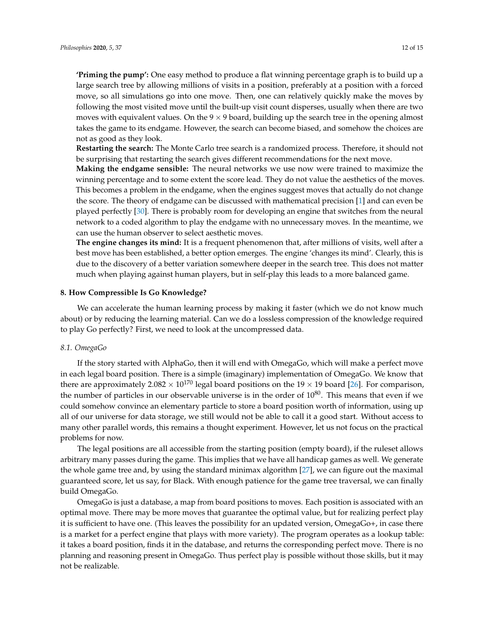**'Priming the pump':** One easy method to produce a flat winning percentage graph is to build up a large search tree by allowing millions of visits in a position, preferably at a position with a forced move, so all simulations go into one move. Then, one can relatively quickly make the moves by following the most visited move until the built-up visit count disperses, usually when there are two moves with equivalent values. On the  $9 \times 9$  board, building up the search tree in the opening almost takes the game to its endgame. However, the search can become biased, and somehow the choices are not as good as they look.

**Restarting the search:** The Monte Carlo tree search is a randomized process. Therefore, it should not be surprising that restarting the search gives different recommendations for the next move.

**Making the endgame sensible:** The neural networks we use now were trained to maximize the winning percentage and to some extent the score lead. They do not value the aesthetics of the moves. This becomes a problem in the endgame, when the engines suggest moves that actually do not change the score. The theory of endgame can be discussed with mathematical precision [\[1\]](#page-13-0) and can even be played perfectly [\[30\]](#page-14-17). There is probably room for developing an engine that switches from the neural network to a coded algorithm to play the endgame with no unnecessary moves. In the meantime, we can use the human observer to select aesthetic moves.

**The engine changes its mind:** It is a frequent phenomenon that, after millions of visits, well after a best move has been established, a better option emerges. The engine 'changes its mind'. Clearly, this is due to the discovery of a better variation somewhere deeper in the search tree. This does not matter much when playing against human players, but in self-play this leads to a more balanced game.

#### **8. How Compressible Is Go Knowledge?**

We can accelerate the human learning process by making it faster (which we do not know much about) or by reducing the learning material. Can we do a lossless compression of the knowledge required to play Go perfectly? First, we need to look at the uncompressed data.

#### *8.1. OmegaGo*

If the story started with AlphaGo, then it will end with OmegaGo, which will make a perfect move in each legal board position. There is a simple (imaginary) implementation of OmegaGo. We know that there are approximately 2.082  $\times$  10<sup>170</sup> legal board positions on the 19  $\times$  19 board [\[26\]](#page-14-13). For comparison, the number of particles in our observable universe is in the order of  $10^{80}$ . This means that even if we could somehow convince an elementary particle to store a board position worth of information, using up all of our universe for data storage, we still would not be able to call it a good start. Without access to many other parallel words, this remains a thought experiment. However, let us not focus on the practical problems for now.

The legal positions are all accessible from the starting position (empty board), if the ruleset allows arbitrary many passes during the game. This implies that we have all handicap games as well. We generate the whole game tree and, by using the standard minimax algorithm [\[27\]](#page-14-14), we can figure out the maximal guaranteed score, let us say, for Black. With enough patience for the game tree traversal, we can finally build OmegaGo.

OmegaGo is just a database, a map from board positions to moves. Each position is associated with an optimal move. There may be more moves that guarantee the optimal value, but for realizing perfect play it is sufficient to have one. (This leaves the possibility for an updated version, OmegaGo+, in case there is a market for a perfect engine that plays with more variety). The program operates as a lookup table: it takes a board position, finds it in the database, and returns the corresponding perfect move. There is no planning and reasoning present in OmegaGo. Thus perfect play is possible without those skills, but it may not be realizable.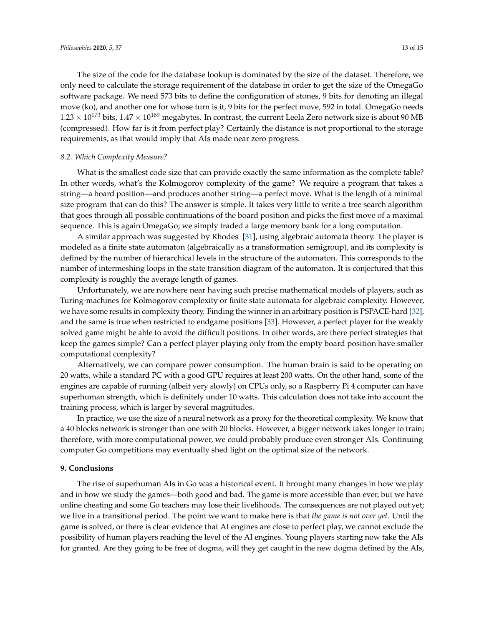The size of the code for the database lookup is dominated by the size of the dataset. Therefore, we only need to calculate the storage requirement of the database in order to get the size of the OmegaGo software package. We need 573 bits to define the configuration of stones, 9 bits for denoting an illegal move (ko), and another one for whose turn is it, 9 bits for the perfect move, 592 in total. OmegaGo needs  $1.23 \times 10^{173}$  bits,  $1.47 \times 10^{169}$  megabytes. In contrast, the current Leela Zero network size is about 90 MB (compressed). How far is it from perfect play? Certainly the distance is not proportional to the storage requirements, as that would imply that AIs made near zero progress.

## *8.2. Which Complexity Measure?*

What is the smallest code size that can provide exactly the same information as the complete table? In other words, what's the Kolmogorov complexity of the game? We require a program that takes a string—a board position—and produces another string—a perfect move. What is the length of a minimal size program that can do this? The answer is simple. It takes very little to write a tree search algorithm that goes through all possible continuations of the board position and picks the first move of a maximal sequence. This is again OmegaGo; we simply traded a large memory bank for a long computation.

A similar approach was suggested by Rhodes [\[31\]](#page-14-18), using algebraic automata theory. The player is modeled as a finite state automaton (algebraically as a transformation semigroup), and its complexity is defined by the number of hierarchical levels in the structure of the automaton. This corresponds to the number of intermeshing loops in the state transition diagram of the automaton. It is conjectured that this complexity is roughly the average length of games.

Unfortunately, we are nowhere near having such precise mathematical models of players, such as Turing-machines for Kolmogorov complexity or finite state automata for algebraic complexity. However, we have some results in complexity theory. Finding the winner in an arbitrary position is PSPACE-hard [\[32\]](#page-14-19), and the same is true when restricted to endgame positions [\[33\]](#page-14-20). However, a perfect player for the weakly solved game might be able to avoid the difficult positions. In other words, are there perfect strategies that keep the games simple? Can a perfect player playing only from the empty board position have smaller computational complexity?

Alternatively, we can compare power consumption. The human brain is said to be operating on 20 watts, while a standard PC with a good GPU requires at least 200 watts. On the other hand, some of the engines are capable of running (albeit very slowly) on CPUs only, so a Raspberry Pi 4 computer can have superhuman strength, which is definitely under 10 watts. This calculation does not take into account the training process, which is larger by several magnitudes.

In practice, we use the size of a neural network as a proxy for the theoretical complexity. We know that a 40 blocks network is stronger than one with 20 blocks. However, a bigger network takes longer to train; therefore, with more computational power, we could probably produce even stronger AIs. Continuing computer Go competitions may eventually shed light on the optimal size of the network.

#### **9. Conclusions**

The rise of superhuman AIs in Go was a historical event. It brought many changes in how we play and in how we study the games—both good and bad. The game is more accessible than ever, but we have online cheating and some Go teachers may lose their livelihoods. The consequences are not played out yet; we live in a transitional period. The point we want to make here is that *the game is not over yet*. Until the game is solved, or there is clear evidence that AI engines are close to perfect play, we cannot exclude the possibility of human players reaching the level of the AI engines. Young players starting now take the AIs for granted. Are they going to be free of dogma, will they get caught in the new dogma defined by the AIs,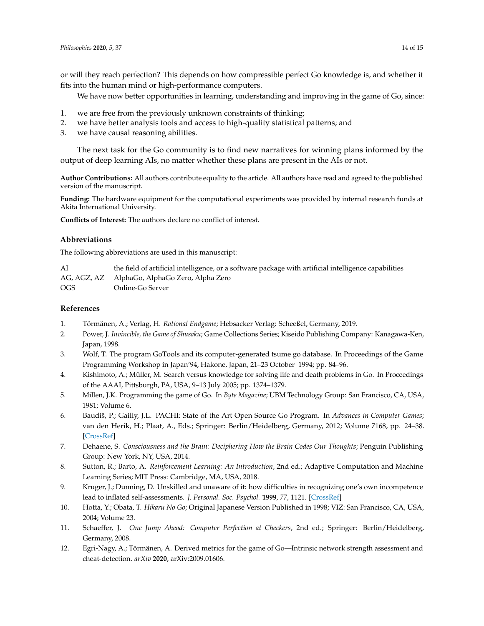or will they reach perfection? This depends on how compressible perfect Go knowledge is, and whether it fits into the human mind or high-performance computers.

We have now better opportunities in learning, understanding and improving in the game of Go, since:

- 1. we are free from the previously unknown constraints of thinking;
- 2. we have better analysis tools and access to high-quality statistical patterns; and
- 3. we have causal reasoning abilities.

The next task for the Go community is to find new narratives for winning plans informed by the output of deep learning AIs, no matter whether these plans are present in the AIs or not.

**Author Contributions:** All authors contribute equality to the article. All authors have read and agreed to the published version of the manuscript.

**Funding:** The hardware equipment for the computational experiments was provided by internal research funds at Akita International University.

**Conflicts of Interest:** The authors declare no conflict of interest.

# **Abbreviations**

The following abbreviations are used in this manuscript:

AI the field of artificial intelligence, or a software package with artificial intelligence capabilities AG, AGZ, AZ AlphaGo, AlphaGo Zero, Alpha Zero OGS Online-Go Server

# **References**

- <span id="page-13-0"></span>1. Törmänen, A.; Verlag, H. *Rational Endgame*; Hebsacker Verlag: Scheeßel, Germany, 2019.
- <span id="page-13-1"></span>2. Power, J. *Invincible, the Game of Shusaku*; Game Collections Series; Kiseido Publishing Company: Kanagawa-Ken, Japan, 1998.
- <span id="page-13-2"></span>3. Wolf, T. The program GoTools and its computer-generated tsume go database. In Proceedings of the Game Programming Workshop in Japan'94, Hakone, Japan, 21–23 October 1994; pp. 84–96.
- <span id="page-13-3"></span>4. Kishimoto, A.; Müller, M. Search versus knowledge for solving life and death problems in Go. In Proceedings of the AAAI, Pittsburgh, PA, USA, 9–13 July 2005; pp. 1374–1379.
- <span id="page-13-4"></span>5. Millen, J.K. Programming the game of Go. In *Byte Magazine*; UBM Technology Group: San Francisco, CA, USA, 1981; Volume 6.
- <span id="page-13-5"></span>6. Baudiš, P.; Gailly, J.L. PACHI: State of the Art Open Source Go Program. In *Advances in Computer Games*; van den Herik, H.; Plaat, A., Eds.; Springer: Berlin/Heidelberg, Germany, 2012; Volume 7168, pp. 24–38. [\[CrossRef\]](http://dx.doi.org/10.1007/978-3-642-31866-5_3)
- <span id="page-13-6"></span>7. Dehaene, S. *Consciousness and the Brain: Deciphering How the Brain Codes Our Thoughts*; Penguin Publishing Group: New York, NY, USA, 2014.
- <span id="page-13-7"></span>8. Sutton, R.; Barto, A. *Reinforcement Learning: An Introduction*, 2nd ed.; Adaptive Computation and Machine Learning Series; MIT Press: Cambridge, MA, USA, 2018.
- <span id="page-13-8"></span>9. Kruger, J.; Dunning, D. Unskilled and unaware of it: how difficulties in recognizing one's own incompetence lead to inflated self-assessments. *J. Personal. Soc. Psychol.* **1999**, *77*, 1121. [\[CrossRef\]](http://dx.doi.org/10.1037/0022-3514.77.6.1121)
- <span id="page-13-9"></span>10. Hotta, Y.; Obata, T. *Hikaru No Go*; Original Japanese Version Published in 1998; VIZ: San Francisco, CA, USA, 2004; Volume 23.
- <span id="page-13-10"></span>11. Schaeffer, J. *One Jump Ahead: Computer Perfection at Checkers*, 2nd ed.; Springer: Berlin/Heidelberg, Germany, 2008.
- <span id="page-13-11"></span>12. Egri-Nagy, A.; Törmänen, A. Derived metrics for the game of Go—Intrinsic network strength assessment and cheat-detection. *arXiv* **2020**, arXiv:2009.01606.